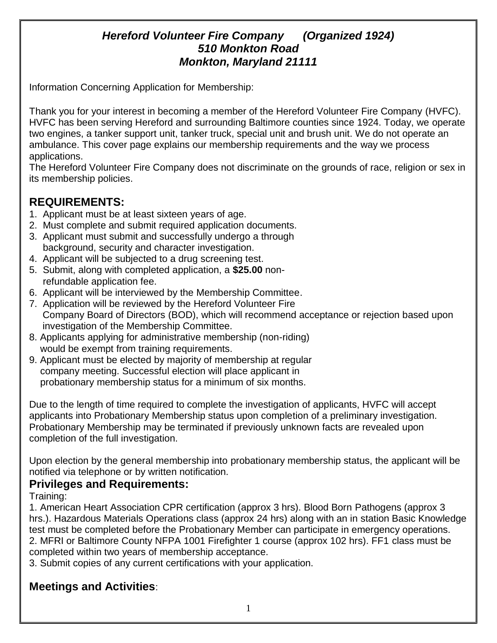# *Hereford Volunteer Fire Company (Organized 1924) 510 Monkton Road Monkton, Maryland 21111*

Information Concerning Application for Membership:

Thank you for your interest in becoming a member of the Hereford Volunteer Fire Company (HVFC). HVFC has been serving Hereford and surrounding Baltimore counties since 1924. Today, we operate two engines, a tanker support unit, tanker truck, special unit and brush unit. We do not operate an ambulance. This cover page explains our membership requirements and the way we process applications.

The Hereford Volunteer Fire Company does not discriminate on the grounds of race, religion or sex in its membership policies.

# **REQUIREMENTS:**

- 1. Applicant must be at least sixteen years of age.
- 2. Must complete and submit required application documents.
- 3. Applicant must submit and successfully undergo a through background, security and character investigation.
- 4. Applicant will be subjected to a drug screening test.
- 5. Submit, along with completed application, a **\$25.00** non refundable application fee.
- 6. Applicant will be interviewed by the Membership Committee.
- 7. Application will be reviewed by the Hereford Volunteer Fire Company Board of Directors (BOD), which will recommend acceptance or rejection based upon investigation of the Membership Committee.
- 8. Applicants applying for administrative membership (non-riding) would be exempt from training requirements.
- 9. Applicant must be elected by majority of membership at regular company meeting. Successful election will place applicant in probationary membership status for a minimum of six months.

Due to the length of time required to complete the investigation of applicants, HVFC will accept applicants into Probationary Membership status upon completion of a preliminary investigation. Probationary Membership may be terminated if previously unknown facts are revealed upon completion of the full investigation.

Upon election by the general membership into probationary membership status, the applicant will be notified via telephone or by written notification.

### **Privileges and Requirements:**

Training:

1. American Heart Association CPR certification (approx 3 hrs). Blood Born Pathogens (approx 3 hrs.). Hazardous Materials Operations class (approx 24 hrs) along with an in station Basic Knowledge test must be completed before the Probationary Member can participate in emergency operations. 2. MFRI or Baltimore County NFPA 1001 Firefighter 1 course (approx 102 hrs). FF1 class must be completed within two years of membership acceptance.

3. Submit copies of any current certifications with your application.

# **Meetings and Activities**: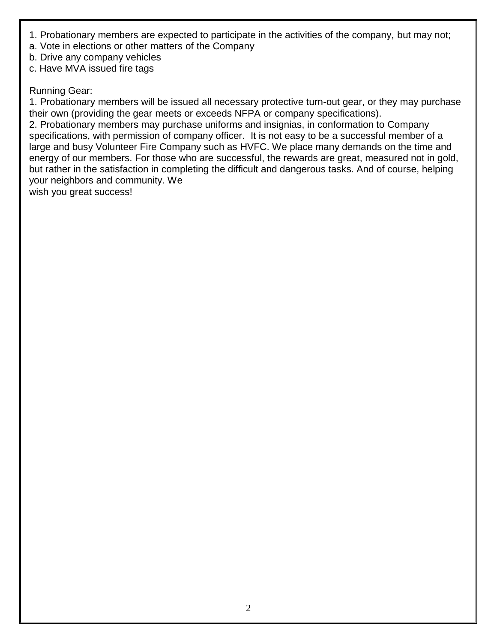- 1. Probationary members are expected to participate in the activities of the company, but may not;
- a. Vote in elections or other matters of the Company
- b. Drive any company vehicles
- c. Have MVA issued fire tags

#### Running Gear:

1. Probationary members will be issued all necessary protective turn-out gear, or they may purchase their own (providing the gear meets or exceeds NFPA or company specifications).

2. Probationary members may purchase uniforms and insignias, in conformation to Company specifications, with permission of company officer. It is not easy to be a successful member of a large and busy Volunteer Fire Company such as HVFC. We place many demands on the time and energy of our members. For those who are successful, the rewards are great, measured not in gold, but rather in the satisfaction in completing the difficult and dangerous tasks. And of course, helping your neighbors and community. We

wish you great success!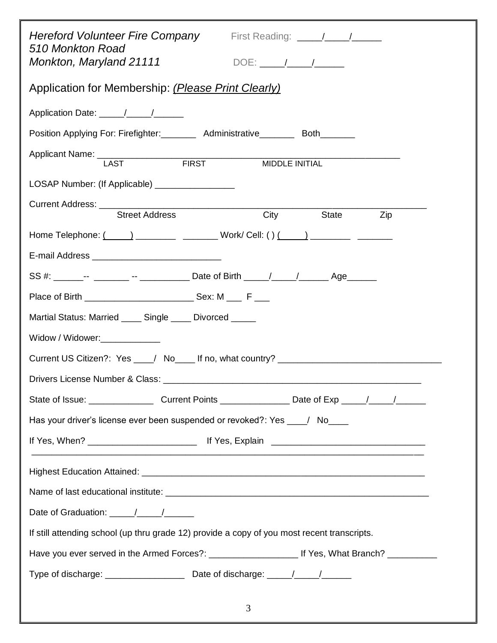| 510 Monkton Road<br>Monkton, Maryland 21111                                                                                                                                                                                    |  |  |  |  |  |  |
|--------------------------------------------------------------------------------------------------------------------------------------------------------------------------------------------------------------------------------|--|--|--|--|--|--|
| Application for Membership: (Please Print Clearly)                                                                                                                                                                             |  |  |  |  |  |  |
|                                                                                                                                                                                                                                |  |  |  |  |  |  |
| Position Applying For: Firefighter: ________ Administrative________ Both_______                                                                                                                                                |  |  |  |  |  |  |
| Applicant Name: 1 AST FIRST<br>MIDDLE INITIAL                                                                                                                                                                                  |  |  |  |  |  |  |
| LOSAP Number: (If Applicable) ________________                                                                                                                                                                                 |  |  |  |  |  |  |
| Street Address<br><b>City</b><br><b>State</b><br>Zip                                                                                                                                                                           |  |  |  |  |  |  |
|                                                                                                                                                                                                                                |  |  |  |  |  |  |
|                                                                                                                                                                                                                                |  |  |  |  |  |  |
| SS #: ______-- ________ -- _____________ Date of Birth _____/_____/_________ Age_______                                                                                                                                        |  |  |  |  |  |  |
|                                                                                                                                                                                                                                |  |  |  |  |  |  |
| Martial Status: Married ____ Single ____ Divorced ____                                                                                                                                                                         |  |  |  |  |  |  |
| Widow / Widower:                                                                                                                                                                                                               |  |  |  |  |  |  |
| Current US Citizen?: Yes ___/ No____ If no, what country? _______________________                                                                                                                                              |  |  |  |  |  |  |
| Drivers License Number & Class: National According to the Contract of the Contract of the Contract of the Contract of the Contract of the Contract of the Contract of the Contract of the Contract of the Contract of the Cont |  |  |  |  |  |  |
|                                                                                                                                                                                                                                |  |  |  |  |  |  |
| Has your driver's license ever been suspended or revoked?: Yes ___/ No___                                                                                                                                                      |  |  |  |  |  |  |
|                                                                                                                                                                                                                                |  |  |  |  |  |  |
|                                                                                                                                                                                                                                |  |  |  |  |  |  |
|                                                                                                                                                                                                                                |  |  |  |  |  |  |
|                                                                                                                                                                                                                                |  |  |  |  |  |  |
| If still attending school (up thru grade 12) provide a copy of you most recent transcripts.                                                                                                                                    |  |  |  |  |  |  |
|                                                                                                                                                                                                                                |  |  |  |  |  |  |
|                                                                                                                                                                                                                                |  |  |  |  |  |  |
| 3                                                                                                                                                                                                                              |  |  |  |  |  |  |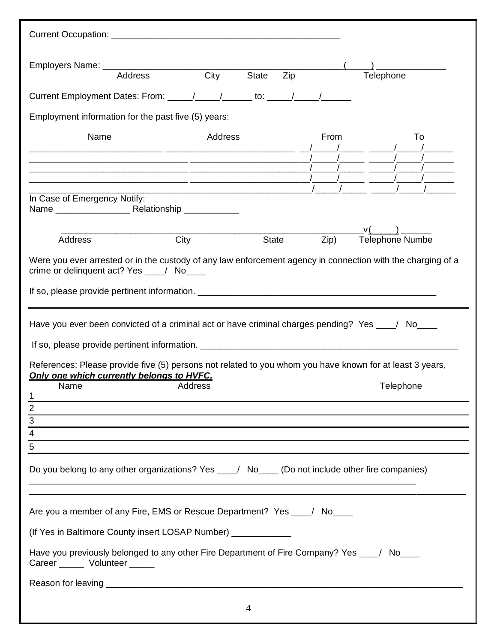| <b>Address</b>                                                                                                                                                                                                                                        | $\overline{City}$ | <b>State</b>   | Zip |                        | Telephone                    |
|-------------------------------------------------------------------------------------------------------------------------------------------------------------------------------------------------------------------------------------------------------|-------------------|----------------|-----|------------------------|------------------------------|
| Current Employment Dates: From: ____/____/_____to: ____/____/_____/______________                                                                                                                                                                     |                   |                |     |                        |                              |
| Employment information for the past five (5) years:                                                                                                                                                                                                   |                   |                |     |                        |                              |
| Name<br><u> 2000 - Jan Sarajević, prijeka i postao da na svoji s postava i postava i postava i postava i postava i postav</u><br><u> 1989 - Jan James James James James James James James James James James James James James James James James J</u> | Address           |                |     | From<br>$\overline{1}$ | To                           |
| In Case of Emergency Notify:                                                                                                                                                                                                                          |                   |                |     |                        |                              |
| <b>Address</b>                                                                                                                                                                                                                                        | City              | <b>State</b>   |     | Zip)                   | v(<br><b>Telephone Numbe</b> |
| Were you ever arrested or in the custody of any law enforcement agency in connection with the charging of a<br>crime or delinquent act? Yes ___/ No____                                                                                               |                   |                |     |                        |                              |
| Have you ever been convicted of a criminal act or have criminal charges pending? Yes ___/ No___                                                                                                                                                       |                   |                |     |                        |                              |
| References: Please provide five (5) persons not related to you whom you have known for at least 3 years,<br>Only one which currently belongs to HVFC.<br><b>Name</b>                                                                                  | Address           |                |     |                        | Telephone                    |
| 1                                                                                                                                                                                                                                                     |                   |                |     |                        |                              |
| $\overline{2}$<br>$\overline{3}$                                                                                                                                                                                                                      |                   |                |     |                        |                              |
| <u> 1989 - Andrea Santa Andrea Santa Andrea Santa Andrea Santa Andrea Santa Andrea Santa Andrea Santa Andrea San</u><br>$\overline{4}$                                                                                                                |                   |                |     |                        |                              |
| 5                                                                                                                                                                                                                                                     |                   |                |     |                        |                              |
| Do you belong to any other organizations? Yes ___/ No___ (Do not include other fire companies)                                                                                                                                                        |                   |                |     |                        |                              |
| Are you a member of any Fire, EMS or Rescue Department? Yes ___/ No____                                                                                                                                                                               |                   |                |     |                        |                              |
| (If Yes in Baltimore County insert LOSAP Number) ____________                                                                                                                                                                                         |                   |                |     |                        |                              |
| Have you previously belonged to any other Fire Department of Fire Company? Yes ___/ No___<br>Career _______ Volunteer ______                                                                                                                          |                   |                |     |                        |                              |
|                                                                                                                                                                                                                                                       |                   |                |     |                        |                              |
|                                                                                                                                                                                                                                                       |                   | $\overline{4}$ |     |                        |                              |